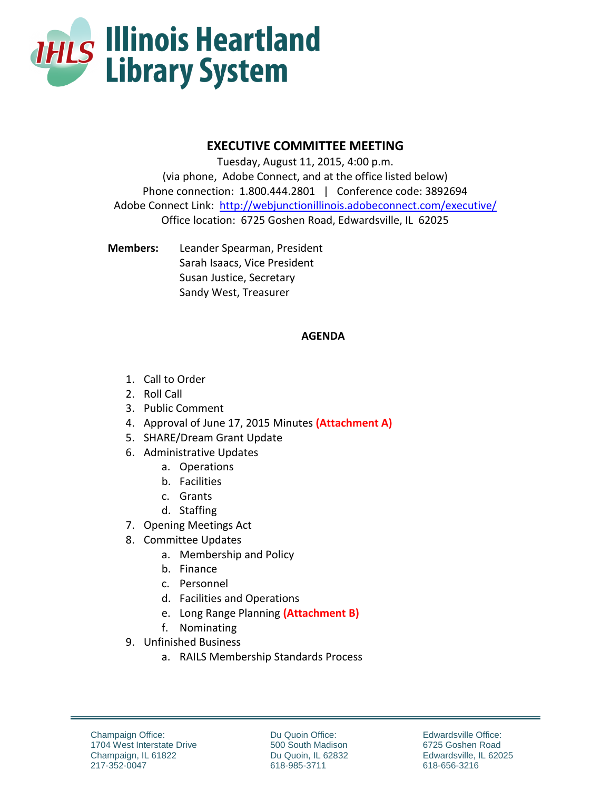

## **EXECUTIVE COMMITTEE MEETING**

Tuesday, August 11, 2015, 4:00 p.m. (via phone, Adobe Connect, and at the office listed below) Phone connection: 1.800.444.2801 | Conference code: 3892694 Adobe Connect Link: <http://webjunctionillinois.adobeconnect.com/executive/> Office location: 6725 Goshen Road, Edwardsville, IL 62025

**Members:** Leander Spearman, President Sarah Isaacs, Vice President Susan Justice, Secretary Sandy West, Treasurer

## **AGENDA**

- 1. Call to Order
- 2. Roll Call
- 3. Public Comment
- 4. Approval of June 17, 2015 Minutes **(Attachment A)**
- 5. SHARE/Dream Grant Update
- 6. Administrative Updates
	- a. Operations
	- b. Facilities
	- c. Grants
	- d. Staffing
- 7. Opening Meetings Act
- 8. Committee Updates
	- a. Membership and Policy
	- b. Finance
	- c. Personnel
	- d. Facilities and Operations
	- e. Long Range Planning **(Attachment B)**
	- f. Nominating
- 9. Unfinished Business
	- a. RAILS Membership Standards Process